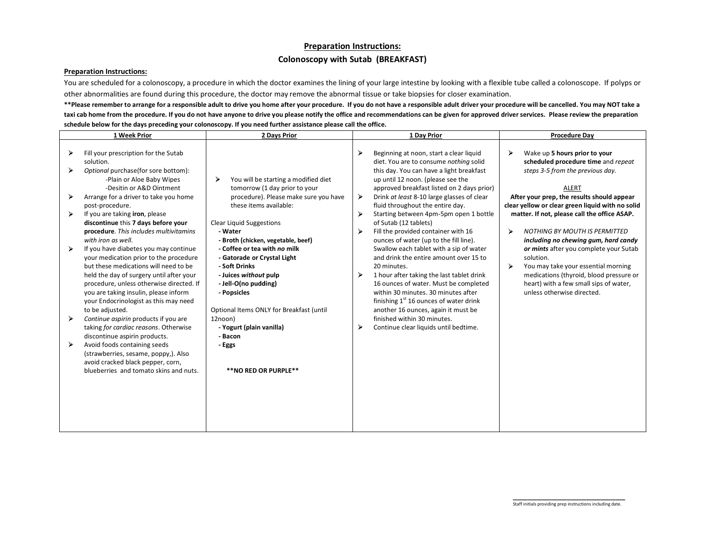## **Preparation Instructions: Colonoscopy with Sutab (BREAKFAST)**

## **Preparation Instructions:**

You are scheduled for a colonoscopy, a procedure in which the doctor examines the lining of your large intestine by looking with a flexible tube called a colonoscope. If polyps or other abnormalities are found during this procedure, the doctor may remove the abnormal tissue or take biopsies for closer examination.

\*\*Please remember to arrange for a responsible adult to drive you home after your procedure. If you do not have a responsible adult driver your procedure will be cancelled. You may NOT take a **taxi cab home from the procedure. If you do not have anyone to drive you please notify the office and recommendations can be given for approved driver services. Please review the preparation schedule below for the days preceding your colonoscopy. If you need further assistance please call the office.**

|   | 1 Week Prior                                                                                                                                                                                                                                                                                                          | 2 Days Prior                                                                                                                                                                             |        | 1 Day Prior                                                                                                                                                                                                                                                                                                      | <b>Procedure Day</b>                                                                                                                                                                                                                   |
|---|-----------------------------------------------------------------------------------------------------------------------------------------------------------------------------------------------------------------------------------------------------------------------------------------------------------------------|------------------------------------------------------------------------------------------------------------------------------------------------------------------------------------------|--------|------------------------------------------------------------------------------------------------------------------------------------------------------------------------------------------------------------------------------------------------------------------------------------------------------------------|----------------------------------------------------------------------------------------------------------------------------------------------------------------------------------------------------------------------------------------|
|   | Fill your prescription for the Sutab<br>solution.<br>Optional purchase(for sore bottom):<br>-Plain or Aloe Baby Wipes                                                                                                                                                                                                 | You will be starting a modified diet<br>➤                                                                                                                                                | ⋗      | Beginning at noon, start a clear liquid<br>diet. You are to consume nothing solid<br>this day. You can have a light breakfast<br>up until 12 noon. (please see the                                                                                                                                               | ⋗<br>Wake up 5 hours prior to your<br>scheduled procedure time and repeat<br>steps 3-5 from the previous day.                                                                                                                          |
|   | -Desitin or A&D Ointment<br>Arrange for a driver to take you home<br>post-procedure.                                                                                                                                                                                                                                  | tomorrow (1 day prior to your<br>procedure). Please make sure you have<br>these items available:                                                                                         | ⋗      | approved breakfast listed on 2 days prior)<br>Drink at least 8-10 large glasses of clear<br>fluid throughout the entire day.                                                                                                                                                                                     | <b>ALERT</b><br>After your prep, the results should appear<br>clear yellow or clear green liquid with no solid                                                                                                                         |
| ➤ | If you are taking iron, please<br>discontinue this 7 days before your<br>procedure. This includes multivitamins<br>with iron as well.                                                                                                                                                                                 | <b>Clear Liquid Suggestions</b><br>- Water<br>- Broth (chicken, vegetable, beef)                                                                                                         | ⋗<br>➤ | Starting between 4pm-5pm open 1 bottle<br>of Sutab (12 tablets)<br>Fill the provided container with 16<br>ounces of water (up to the fill line).                                                                                                                                                                 | matter. If not, please call the office ASAP.<br>⋗<br><b>NOTHING BY MOUTH IS PERMITTED</b><br>including no chewing gum, hard candy                                                                                                      |
|   | If you have diabetes you may continue<br>your medication prior to the procedure<br>but these medications will need to be<br>held the day of surgery until after your<br>procedure, unless otherwise directed. If<br>you are taking insulin, please inform<br>your Endocrinologist as this may need<br>to be adjusted. | - Coffee or tea with no milk<br>- Gatorade or Crystal Light<br>- Soft Drinks<br>- Juices without pulp<br>- Jell-O(no pudding)<br>- Popsicles<br>Optional Items ONLY for Breakfast (until | ➤      | Swallow each tablet with a sip of water<br>and drink the entire amount over 15 to<br>20 minutes.<br>1 hour after taking the last tablet drink<br>16 ounces of water. Must be completed<br>within 30 minutes. 30 minutes after<br>finishing $1st 16$ ounces of water drink<br>another 16 ounces, again it must be | or mints after you complete your Sutab<br>solution.<br>$\blacktriangleright$<br>You may take your essential morning<br>medications (thyroid, blood pressure or<br>heart) with a few small sips of water,<br>unless otherwise directed. |
| ⋗ | Continue aspirin products if you are<br>taking for cardiac reasons. Otherwise<br>discontinue aspirin products.                                                                                                                                                                                                        | 12noon)<br>- Yogurt (plain vanilla)<br>- Bacon                                                                                                                                           | ➤      | finished within 30 minutes.<br>Continue clear liquids until bedtime.                                                                                                                                                                                                                                             |                                                                                                                                                                                                                                        |
|   | Avoid foods containing seeds<br>(strawberries, sesame, poppy,). Also<br>avoid cracked black pepper, corn,<br>blueberries and tomato skins and nuts.                                                                                                                                                                   | - Eggs<br>**NO RED OR PURPLE**                                                                                                                                                           |        |                                                                                                                                                                                                                                                                                                                  |                                                                                                                                                                                                                                        |